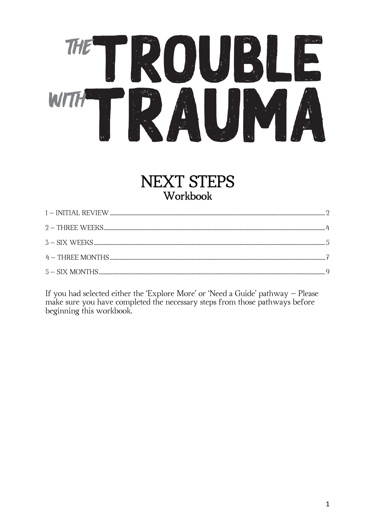# OUR THE WITH

## **NEXT STEPS** Workbook

If you had selected either the 'Explore More' or 'Need a Guide' pathway - Please make sure you have completed the necessary steps from those pathways before beginning this workbook.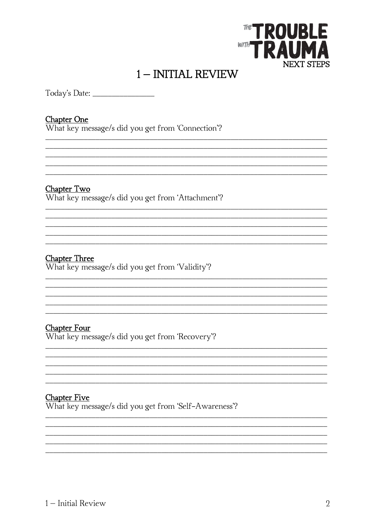

## 1-INITIAL REVIEW

<span id="page-1-0"></span>Todav's Date: \_\_\_\_\_\_\_\_\_\_\_\_\_\_\_\_\_\_

#### **Chapter One**

What key message/s did you get from 'Connection'?

#### Chapter Two

What key message/s did you get from 'Attachment'?

#### **Chapter Three**

What key message/s did you get from 'Validity'?

#### **Chapter Four**

What key message/s did you get from 'Recovery'?

#### **Chapter Five**

What key message/s did you get from 'Self-Awareness'?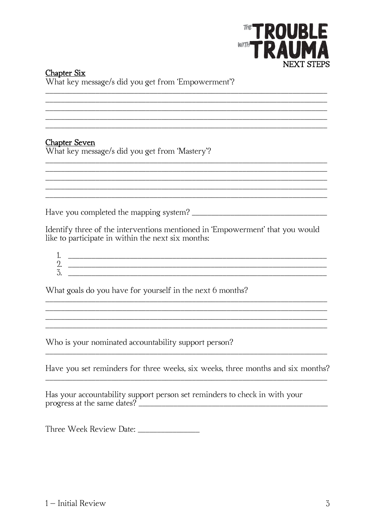

#### **Chapter Six** What key message/s did you get from 'Empowerment'?

**Chapter Seven** 

What key message/s did you get from 'Mastery'?

Identify three of the interventions mentioned in 'Empowerment' that you would like to participate in within the next six months:

 $\overline{3}$ .

<u> 1989 - Jan James James James James James James James James James James James James James James James James J</u>

What goals do you have for yourself in the next 6 months?

Who is your nominated accountability support person?

<u> 2000 - 2000 - 2000 - 2000 - 2000 - 2000 - 2000 - 2000 - 2000 - 2000 - 2000 - 2000 - 2000 - 2000 - 2000 - 200</u>

Have you set reminders for three weeks, six weeks, three months and six months?

Has your accountability support person set reminders to check in with your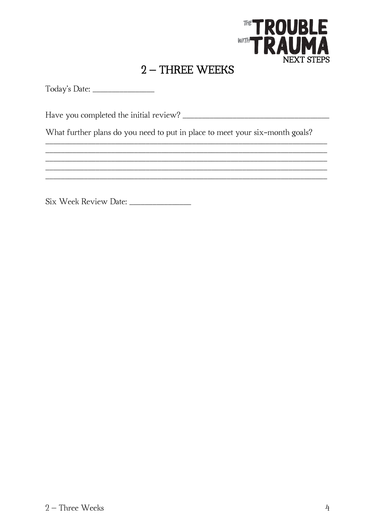

## $2$  – THREE WEEKS

<span id="page-3-0"></span>Today's Date: \_\_\_\_\_\_\_\_\_\_\_\_\_\_\_\_\_\_\_\_

What further plans do you need to put in place to meet your six-month goals?

<u> 1989 - Jan James James James James James James James James James James James James James James James James J</u>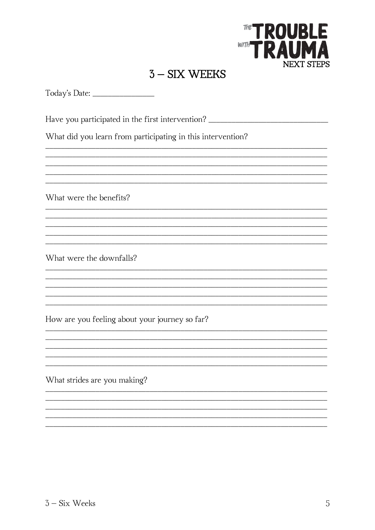

### $3 - SIX WE EKS$

<u> 1989 - Johann John Harry, mars and deutscher Stadt and deutscher Stadt and deutscher Stadt and deutscher Stad</u>

<u> 1989 - 1989 - 1989 - 1989 - 1989 - 1989 - 1989 - 1989 - 1989 - 1989 - 1989 - 1989 - 1989 - 1989 - 1989 - 19</u> 

<span id="page-4-0"></span>Today's Date:

Have you participated in the first intervention? \_\_\_\_\_\_\_\_\_\_\_\_\_\_\_\_\_\_\_\_\_\_\_\_\_\_\_\_\_\_\_

What did you learn from participating in this intervention?

What were the benefits?

What were the downfalls?

How are you feeling about your journey so far?

What strides are you making?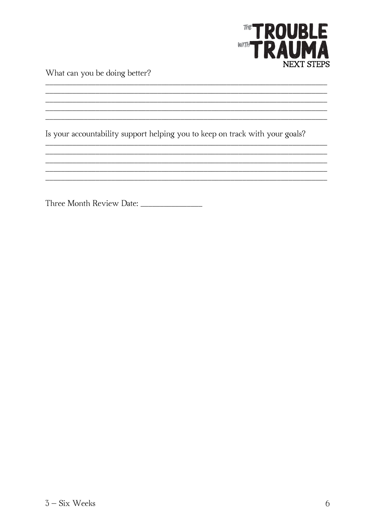

What can you be doing better?

Is your accountability support helping you to keep on track with your goals?

<u> 2000 - Jan Barnett, martin da basar da basar da basar da basar da basar da basar da basar da basar da basar</u> <u> 1989 - Johann John Stone, markin basar (b. 1989)</u>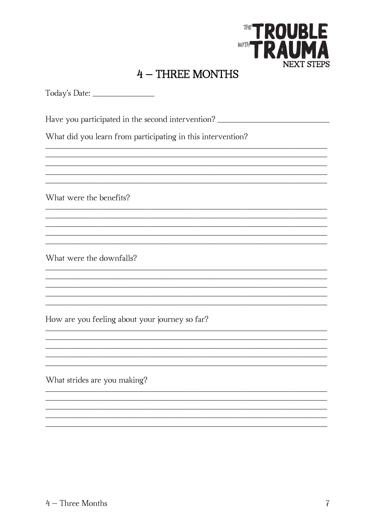

## 4 - THREE MONTHS

<span id="page-6-0"></span>

| Today's Date: |
|---------------|
|---------------|

Have you participated in the second intervention? \_\_\_\_\_\_\_\_\_\_\_\_\_\_\_\_\_\_\_\_\_\_\_\_\_\_\_\_\_\_

<u> 1989 - Johann John Harry, mars ar yw y cynnwys y cynnwys y cynnwys y cynnwys y cynnwys y cynnwys y cynnwys y</u>

What did you learn from participating in this intervention?

What were the benefits?

What were the downfalls?

How are you feeling about your journey so far?

What strides are you making?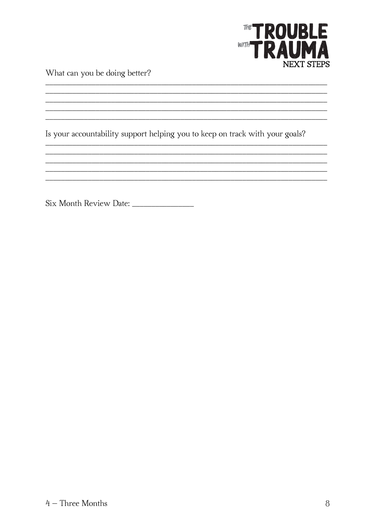

What can you be doing better?

Is your accountability support helping you to keep on track with your goals?

<u> 2000 - Jan Barnett, martin da basar da basar da basar da basar da basar da basar da basar da basar da basar</u>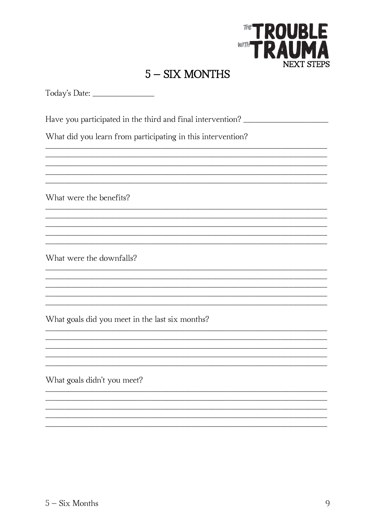

## $5 - SIX$  MONTHS

<u> 2000 - Jan James James James James James James James James James James James James James James James James J</u> <u> 1989 - Jan James James James James James James James James James James James James James James James James</u>

<u> 1989 - Johann John Stone, mars and deutscher Stone († 1989)</u>

<span id="page-8-0"></span>Today's Date:

Have you participated in the third and final intervention? \_\_\_\_\_\_\_\_\_\_\_\_\_\_\_\_\_\_\_\_\_

What did you learn from participating in this intervention?

What were the benefits?

What were the downfalls?

What goals did you meet in the last six months?

What goals didn't you meet?